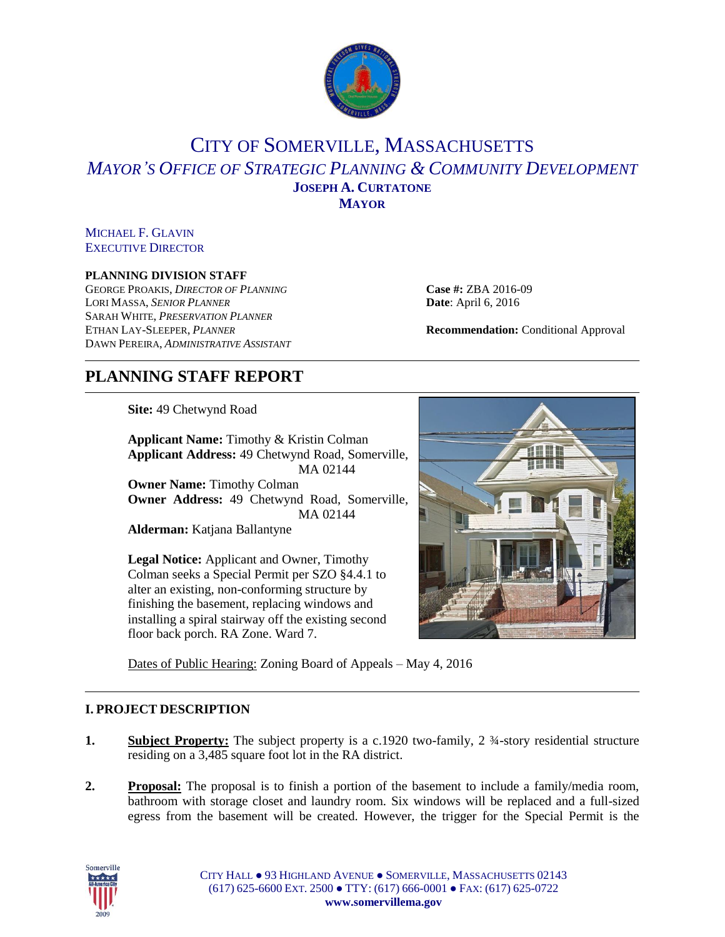

# CITY OF SOMERVILLE, MASSACHUSETTS *MAYOR'S OFFICE OF STRATEGIC PLANNING & COMMUNITY DEVELOPMENT* **JOSEPH A. CURTATONE MAYOR**

## MICHAEL F. GLAVIN EXECUTIVE DIRECTOR

## **PLANNING DIVISION STAFF**

GEORGE PROAKIS, *DIRECTOR OF PLANNING* **Case #:** ZBA 2016-09 LORI MASSA, *SENIOR PLANNER* **Date**: April 6, 2016 SARAH WHITE, *PRESERVATION PLANNER* ETHAN LAY-SLEEPER, *PLANNER* **Recommendation:** Conditional Approval DAWN PEREIRA, *ADMINISTRATIVE ASSISTANT*

# **PLANNING STAFF REPORT**

**Site:** 49 Chetwynd Road

**Applicant Name:** Timothy & Kristin Colman **Applicant Address:** 49 Chetwynd Road, Somerville, MA 02144 **Owner Name:** Timothy Colman **Owner Address:** 49 Chetwynd Road, Somerville, MA 02144 **Alderman:** Katjana Ballantyne

**Legal Notice:** Applicant and Owner, Timothy Colman seeks a Special Permit per SZO §4.4.1 to alter an existing, non-conforming structure by finishing the basement, replacing windows and installing a spiral stairway off the existing second floor back porch. RA Zone. Ward 7.



Dates of Public Hearing: Zoning Board of Appeals – May 4, 2016

# **I. PROJECT DESCRIPTION**

- **1. Subject Property:** The subject property is a c.1920 two-family, 2 ¼-story residential structure residing on a 3,485 square foot lot in the RA district.
- **2. Proposal:** The proposal is to finish a portion of the basement to include a family/media room, bathroom with storage closet and laundry room. Six windows will be replaced and a full-sized egress from the basement will be created. However, the trigger for the Special Permit is the



CITY HALL ● 93 HIGHLAND AVENUE ● SOMERVILLE, MASSACHUSETTS 02143 (617) 625-6600 EXT. 2500 ● TTY: (617) 666-0001 ● FAX: (617) 625-0722 **www.somervillema.gov**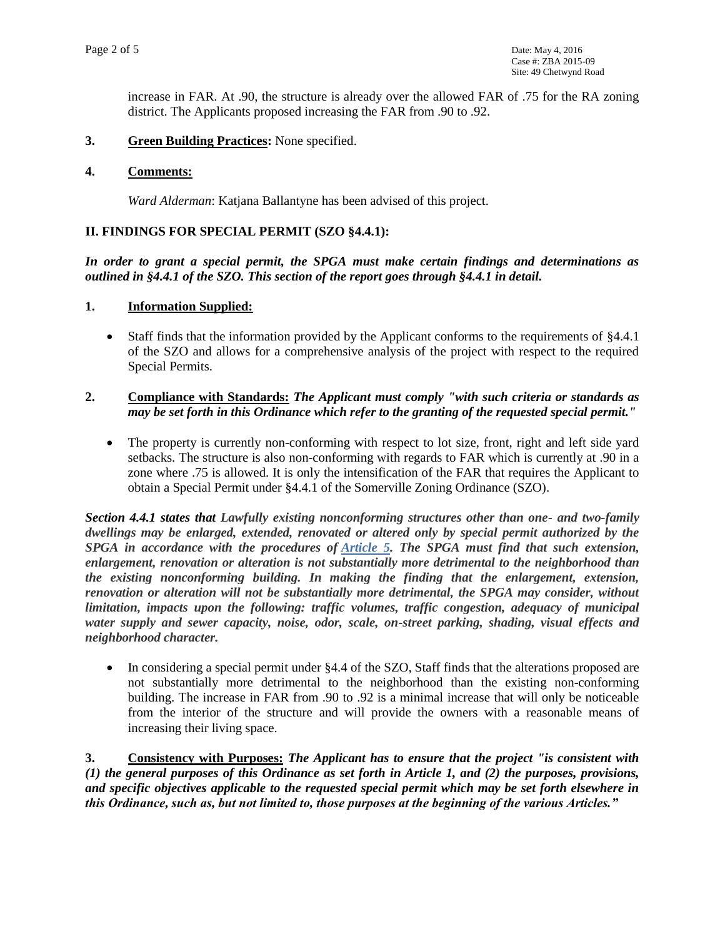increase in FAR. At .90, the structure is already over the allowed FAR of .75 for the RA zoning district. The Applicants proposed increasing the FAR from .90 to .92.

**3. Green Building Practices:** None specified.

#### **4. Comments:**

*Ward Alderman*: Katjana Ballantyne has been advised of this project.

## **II. FINDINGS FOR SPECIAL PERMIT (SZO §4.4.1):**

*In order to grant a special permit, the SPGA must make certain findings and determinations as outlined in §4.4.1 of the SZO. This section of the report goes through §4.4.1 in detail.* 

#### **1. Information Supplied:**

• Staff finds that the information provided by the Applicant conforms to the requirements of §4.4.1 of the SZO and allows for a comprehensive analysis of the project with respect to the required Special Permits.

## **2. Compliance with Standards:** *The Applicant must comply "with such criteria or standards as may be set forth in this Ordinance which refer to the granting of the requested special permit."*

• The property is currently non-conforming with respect to lot size, front, right and left side yard setbacks. The structure is also non-conforming with regards to FAR which is currently at .90 in a zone where .75 is allowed. It is only the intensification of the FAR that requires the Applicant to obtain a Special Permit under §4.4.1 of the Somerville Zoning Ordinance (SZO).

*Section 4.4.1 states that Lawfully existing nonconforming structures other than one- and two-family dwellings may be enlarged, extended, renovated or altered only by special permit authorized by the SPGA in accordance with the procedures of [Article 5.](https://www.municode.com/library/ma/somerville/codes/zoning_ordinances?searchRequest=%7B%22searchText%22%3A%224.4.1%22%2C%22pageNum%22%3A1%2C%22resultsPerPage%22%3A25%2C%22booleanSearch%22%3Afalse%2C%22stemming%22%3Atrue%2C%22fuzzy%22%3Afalse%2C%22synonym%22%3Afalse%2C%22contentTypes%22%3A%5B%22CODES%22%5D%2C%22productIds%22%3A%5B%5D%7D&nodeId=ZONING_ORD_SOMERVILLE_MASSACHUSETTS_ART5SPPESPPESIPLRE) The SPGA must find that such extension, enlargement, renovation or alteration is not substantially more detrimental to the neighborhood than the existing nonconforming building. In making the finding that the enlargement, extension, renovation or alteration will not be substantially more detrimental, the SPGA may consider, without limitation, impacts upon the following: traffic volumes, traffic congestion, adequacy of municipal water supply and sewer capacity, noise, odor, scale, on-street parking, shading, visual effects and neighborhood character.*

 In considering a special permit under §4.4 of the SZO, Staff finds that the alterations proposed are not substantially more detrimental to the neighborhood than the existing non-conforming building. The increase in FAR from .90 to .92 is a minimal increase that will only be noticeable from the interior of the structure and will provide the owners with a reasonable means of increasing their living space.

**3. Consistency with Purposes:** *The Applicant has to ensure that the project "is consistent with (1) the general purposes of this Ordinance as set forth in Article 1, and (2) the purposes, provisions, and specific objectives applicable to the requested special permit which may be set forth elsewhere in this Ordinance, such as, but not limited to, those purposes at the beginning of the various Articles."*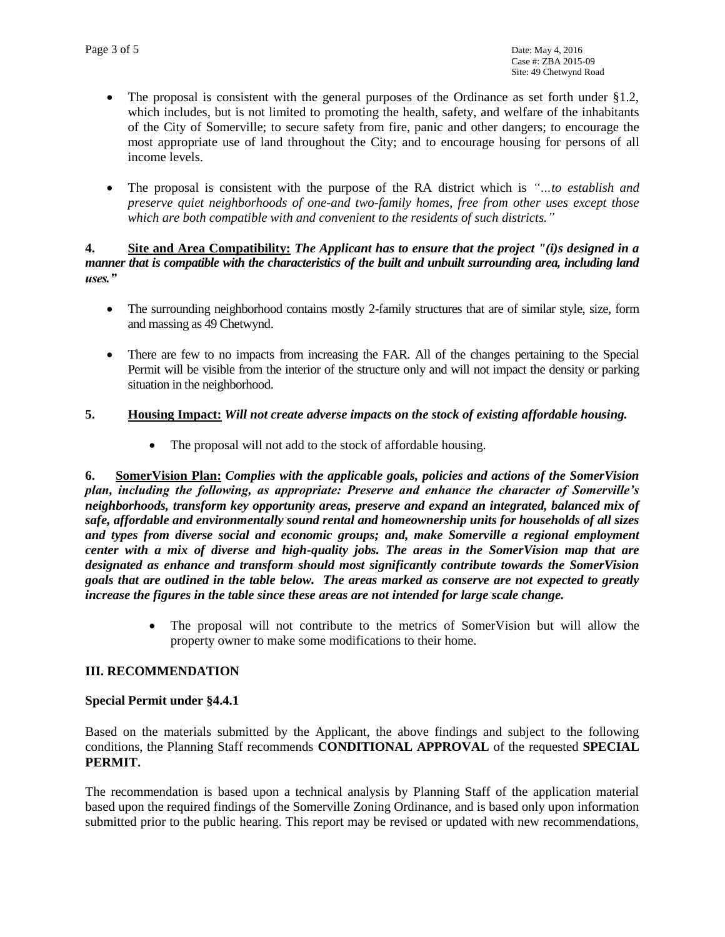- The proposal is consistent with the general purposes of the Ordinance as set forth under  $\S1.2$ , which includes, but is not limited to promoting the health, safety, and welfare of the inhabitants of the City of Somerville; to secure safety from fire, panic and other dangers; to encourage the most appropriate use of land throughout the City; and to encourage housing for persons of all income levels.
- The proposal is consistent with the purpose of the RA district which is *"…to establish and preserve quiet neighborhoods of one-and two-family homes, free from other uses except those which are both compatible with and convenient to the residents of such districts."*

#### **4. Site and Area Compatibility:** *The Applicant has to ensure that the project "(i)s designed in a manner that is compatible with the characteristics of the built and unbuilt surrounding area, including land uses."*

- The surrounding neighborhood contains mostly 2-family structures that are of similar style, size, form and massing as 49 Chetwynd.
- There are few to no impacts from increasing the FAR. All of the changes pertaining to the Special Permit will be visible from the interior of the structure only and will not impact the density or parking situation in the neighborhood.

# **5. Housing Impact:** *Will not create adverse impacts on the stock of existing affordable housing.*

• The proposal will not add to the stock of affordable housing.

**6. SomerVision Plan:** *Complies with the applicable goals, policies and actions of the SomerVision plan, including the following, as appropriate: Preserve and enhance the character of Somerville's neighborhoods, transform key opportunity areas, preserve and expand an integrated, balanced mix of safe, affordable and environmentally sound rental and homeownership units for households of all sizes and types from diverse social and economic groups; and, make Somerville a regional employment center with a mix of diverse and high-quality jobs. The areas in the SomerVision map that are designated as enhance and transform should most significantly contribute towards the SomerVision goals that are outlined in the table below. The areas marked as conserve are not expected to greatly increase the figures in the table since these areas are not intended for large scale change.*

> The proposal will not contribute to the metrics of SomerVision but will allow the property owner to make some modifications to their home.

## **III. RECOMMENDATION**

## **Special Permit under §4.4.1**

Based on the materials submitted by the Applicant, the above findings and subject to the following conditions, the Planning Staff recommends **CONDITIONAL APPROVAL** of the requested **SPECIAL PERMIT.** 

The recommendation is based upon a technical analysis by Planning Staff of the application material based upon the required findings of the Somerville Zoning Ordinance, and is based only upon information submitted prior to the public hearing. This report may be revised or updated with new recommendations,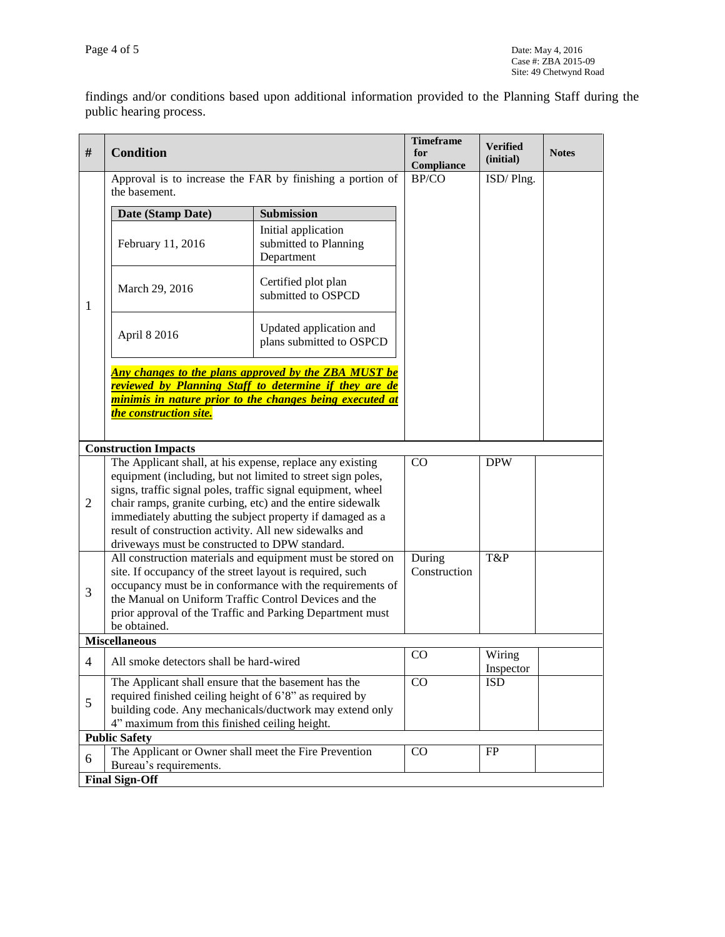findings and/or conditions based upon additional information provided to the Planning Staff during the public hearing process.

| #                           | <b>Condition</b>                                                                                                                                                                                                                                                                                                                                                                                                                |                                                            | <b>Timeframe</b><br>for<br>Compliance | <b>Verified</b><br>(initial) | <b>Notes</b> |  |  |
|-----------------------------|---------------------------------------------------------------------------------------------------------------------------------------------------------------------------------------------------------------------------------------------------------------------------------------------------------------------------------------------------------------------------------------------------------------------------------|------------------------------------------------------------|---------------------------------------|------------------------------|--------------|--|--|
|                             | Approval is to increase the FAR by finishing a portion of<br>the basement.                                                                                                                                                                                                                                                                                                                                                      |                                                            | BP/CO                                 | ISD/Plng.                    |              |  |  |
| 1                           | Date (Stamp Date)                                                                                                                                                                                                                                                                                                                                                                                                               | <b>Submission</b>                                          |                                       |                              |              |  |  |
|                             | February 11, 2016                                                                                                                                                                                                                                                                                                                                                                                                               | Initial application<br>submitted to Planning<br>Department |                                       |                              |              |  |  |
|                             | March 29, 2016                                                                                                                                                                                                                                                                                                                                                                                                                  | Certified plot plan<br>submitted to OSPCD                  |                                       |                              |              |  |  |
|                             | April 8 2016                                                                                                                                                                                                                                                                                                                                                                                                                    | Updated application and<br>plans submitted to OSPCD        |                                       |                              |              |  |  |
|                             | <b>Any changes to the plans approved by the ZBA MUST be</b><br><u>reviewed by Planning Staff to determine if they are de</u><br><i>minimis in nature prior to the changes being executed at</i><br>the construction site.                                                                                                                                                                                                       |                                                            |                                       |                              |              |  |  |
| <b>Construction Impacts</b> |                                                                                                                                                                                                                                                                                                                                                                                                                                 |                                                            |                                       |                              |              |  |  |
| $\overline{2}$              | The Applicant shall, at his expense, replace any existing<br>equipment (including, but not limited to street sign poles,<br>signs, traffic signal poles, traffic signal equipment, wheel<br>chair ramps, granite curbing, etc) and the entire sidewalk<br>immediately abutting the subject property if damaged as a<br>result of construction activity. All new sidewalks and<br>driveways must be constructed to DPW standard. |                                                            | CO                                    | <b>DPW</b>                   |              |  |  |
| 3                           | All construction materials and equipment must be stored on<br>site. If occupancy of the street layout is required, such<br>occupancy must be in conformance with the requirements of<br>the Manual on Uniform Traffic Control Devices and the<br>prior approval of the Traffic and Parking Department must<br>be obtained.                                                                                                      | During<br>Construction                                     | T&P                                   |                              |              |  |  |
|                             | <b>Miscellaneous</b>                                                                                                                                                                                                                                                                                                                                                                                                            |                                                            |                                       |                              |              |  |  |
| 4                           | All smoke detectors shall be hard-wired                                                                                                                                                                                                                                                                                                                                                                                         |                                                            | $\rm CO$                              | Wiring<br>Inspector          |              |  |  |
| 5                           | The Applicant shall ensure that the basement has the<br>required finished ceiling height of 6'8" as required by<br>building code. Any mechanicals/ductwork may extend only<br>4" maximum from this finished ceiling height.                                                                                                                                                                                                     |                                                            | CO                                    | <b>ISD</b>                   |              |  |  |
| <b>Public Safety</b>        |                                                                                                                                                                                                                                                                                                                                                                                                                                 |                                                            |                                       |                              |              |  |  |
| 6                           | The Applicant or Owner shall meet the Fire Prevention<br>Bureau's requirements.                                                                                                                                                                                                                                                                                                                                                 |                                                            | $\rm CO$                              | FP                           |              |  |  |
|                             | <b>Final Sign-Off</b>                                                                                                                                                                                                                                                                                                                                                                                                           |                                                            |                                       |                              |              |  |  |